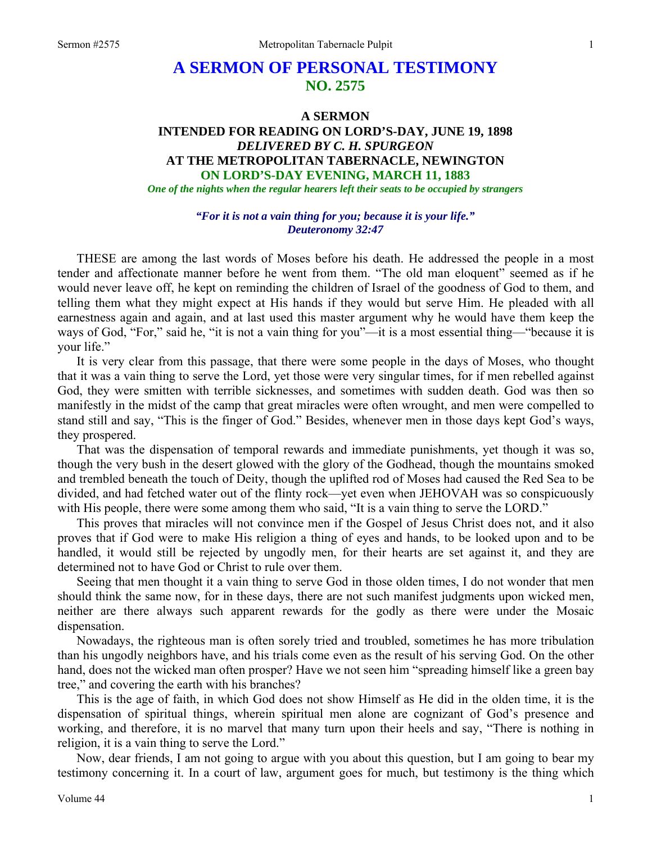# **A SERMON OF PERSONAL TESTIMONY NO. 2575**

## **A SERMON INTENDED FOR READING ON LORD'S-DAY, JUNE 19, 1898**  *DELIVERED BY C. H. SPURGEON*  **AT THE METROPOLITAN TABERNACLE, NEWINGTON ON LORD'S-DAY EVENING, MARCH 11, 1883**

*One of the nights when the regular hearers left their seats to be occupied by strangers* 

*"For it is not a vain thing for you; because it is your life." Deuteronomy 32:47* 

THESE are among the last words of Moses before his death. He addressed the people in a most tender and affectionate manner before he went from them. "The old man eloquent" seemed as if he would never leave off, he kept on reminding the children of Israel of the goodness of God to them, and telling them what they might expect at His hands if they would but serve Him. He pleaded with all earnestness again and again, and at last used this master argument why he would have them keep the ways of God, "For," said he, "it is not a vain thing for you"—it is a most essential thing—"because it is your life."

It is very clear from this passage, that there were some people in the days of Moses, who thought that it was a vain thing to serve the Lord, yet those were very singular times, for if men rebelled against God, they were smitten with terrible sicknesses, and sometimes with sudden death. God was then so manifestly in the midst of the camp that great miracles were often wrought, and men were compelled to stand still and say, "This is the finger of God." Besides, whenever men in those days kept God's ways, they prospered.

That was the dispensation of temporal rewards and immediate punishments, yet though it was so, though the very bush in the desert glowed with the glory of the Godhead, though the mountains smoked and trembled beneath the touch of Deity, though the uplifted rod of Moses had caused the Red Sea to be divided, and had fetched water out of the flinty rock—yet even when JEHOVAH was so conspicuously with His people, there were some among them who said, "It is a vain thing to serve the LORD."

This proves that miracles will not convince men if the Gospel of Jesus Christ does not, and it also proves that if God were to make His religion a thing of eyes and hands, to be looked upon and to be handled, it would still be rejected by ungodly men, for their hearts are set against it, and they are determined not to have God or Christ to rule over them.

Seeing that men thought it a vain thing to serve God in those olden times, I do not wonder that men should think the same now, for in these days, there are not such manifest judgments upon wicked men, neither are there always such apparent rewards for the godly as there were under the Mosaic dispensation.

Nowadays, the righteous man is often sorely tried and troubled, sometimes he has more tribulation than his ungodly neighbors have, and his trials come even as the result of his serving God. On the other hand, does not the wicked man often prosper? Have we not seen him "spreading himself like a green bay tree," and covering the earth with his branches?

This is the age of faith, in which God does not show Himself as He did in the olden time, it is the dispensation of spiritual things, wherein spiritual men alone are cognizant of God's presence and working, and therefore, it is no marvel that many turn upon their heels and say, "There is nothing in religion, it is a vain thing to serve the Lord."

Now, dear friends, I am not going to argue with you about this question, but I am going to bear my testimony concerning it. In a court of law, argument goes for much, but testimony is the thing which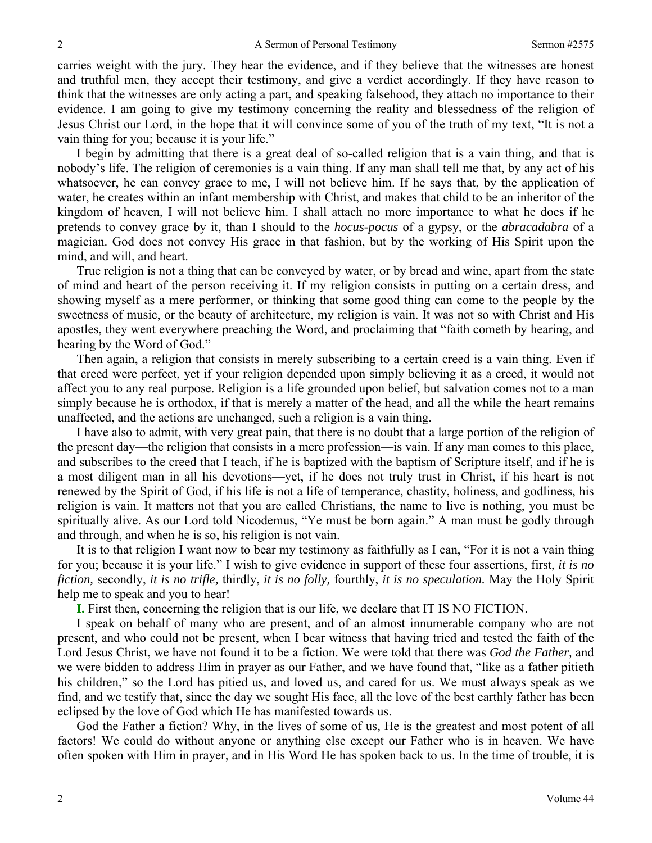carries weight with the jury. They hear the evidence, and if they believe that the witnesses are honest and truthful men, they accept their testimony, and give a verdict accordingly. If they have reason to think that the witnesses are only acting a part, and speaking falsehood, they attach no importance to their evidence. I am going to give my testimony concerning the reality and blessedness of the religion of Jesus Christ our Lord, in the hope that it will convince some of you of the truth of my text, "It is not a vain thing for you; because it is your life."

I begin by admitting that there is a great deal of so-called religion that is a vain thing, and that is nobody's life. The religion of ceremonies is a vain thing. If any man shall tell me that, by any act of his whatsoever, he can convey grace to me, I will not believe him. If he says that, by the application of water, he creates within an infant membership with Christ, and makes that child to be an inheritor of the kingdom of heaven, I will not believe him. I shall attach no more importance to what he does if he pretends to convey grace by it, than I should to the *hocus-pocus* of a gypsy, or the *abracadabra* of a magician. God does not convey His grace in that fashion, but by the working of His Spirit upon the mind, and will, and heart.

True religion is not a thing that can be conveyed by water, or by bread and wine, apart from the state of mind and heart of the person receiving it. If my religion consists in putting on a certain dress, and showing myself as a mere performer, or thinking that some good thing can come to the people by the sweetness of music, or the beauty of architecture, my religion is vain. It was not so with Christ and His apostles, they went everywhere preaching the Word, and proclaiming that "faith cometh by hearing, and hearing by the Word of God."

Then again, a religion that consists in merely subscribing to a certain creed is a vain thing. Even if that creed were perfect, yet if your religion depended upon simply believing it as a creed, it would not affect you to any real purpose. Religion is a life grounded upon belief, but salvation comes not to a man simply because he is orthodox, if that is merely a matter of the head, and all the while the heart remains unaffected, and the actions are unchanged, such a religion is a vain thing.

I have also to admit, with very great pain, that there is no doubt that a large portion of the religion of the present day—the religion that consists in a mere profession—is vain. If any man comes to this place, and subscribes to the creed that I teach, if he is baptized with the baptism of Scripture itself, and if he is a most diligent man in all his devotions—yet, if he does not truly trust in Christ, if his heart is not renewed by the Spirit of God, if his life is not a life of temperance, chastity, holiness, and godliness, his religion is vain. It matters not that you are called Christians, the name to live is nothing, you must be spiritually alive. As our Lord told Nicodemus, "Ye must be born again." A man must be godly through and through, and when he is so, his religion is not vain.

It is to that religion I want now to bear my testimony as faithfully as I can, "For it is not a vain thing for you; because it is your life." I wish to give evidence in support of these four assertions, first, *it is no fiction,* secondly, *it is no trifle,* thirdly, *it is no folly,* fourthly, *it is no speculation.* May the Holy Spirit help me to speak and you to hear!

**I.** First then, concerning the religion that is our life, we declare that IT IS NO FICTION.

I speak on behalf of many who are present, and of an almost innumerable company who are not present, and who could not be present, when I bear witness that having tried and tested the faith of the Lord Jesus Christ, we have not found it to be a fiction. We were told that there was *God the Father,* and we were bidden to address Him in prayer as our Father, and we have found that, "like as a father pitieth his children," so the Lord has pitied us, and loved us, and cared for us. We must always speak as we find, and we testify that, since the day we sought His face, all the love of the best earthly father has been eclipsed by the love of God which He has manifested towards us.

God the Father a fiction? Why, in the lives of some of us, He is the greatest and most potent of all factors! We could do without anyone or anything else except our Father who is in heaven. We have often spoken with Him in prayer, and in His Word He has spoken back to us. In the time of trouble, it is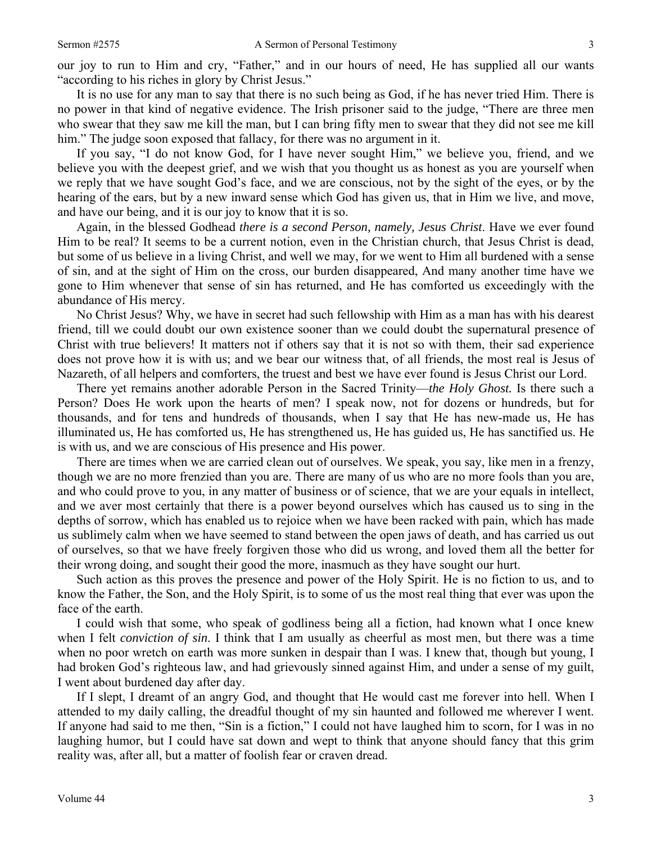our joy to run to Him and cry, "Father," and in our hours of need, He has supplied all our wants "according to his riches in glory by Christ Jesus."

It is no use for any man to say that there is no such being as God, if he has never tried Him. There is no power in that kind of negative evidence. The Irish prisoner said to the judge, "There are three men who swear that they saw me kill the man, but I can bring fifty men to swear that they did not see me kill him." The judge soon exposed that fallacy, for there was no argument in it.

If you say, "I do not know God, for I have never sought Him," we believe you, friend, and we believe you with the deepest grief, and we wish that you thought us as honest as you are yourself when we reply that we have sought God's face, and we are conscious, not by the sight of the eyes, or by the hearing of the ears, but by a new inward sense which God has given us, that in Him we live, and move, and have our being, and it is our joy to know that it is so.

Again, in the blessed Godhead *there is a second Person, namely, Jesus Christ*. Have we ever found Him to be real? It seems to be a current notion, even in the Christian church, that Jesus Christ is dead, but some of us believe in a living Christ, and well we may, for we went to Him all burdened with a sense of sin, and at the sight of Him on the cross, our burden disappeared, And many another time have we gone to Him whenever that sense of sin has returned, and He has comforted us exceedingly with the abundance of His mercy.

No Christ Jesus? Why, we have in secret had such fellowship with Him as a man has with his dearest friend, till we could doubt our own existence sooner than we could doubt the supernatural presence of Christ with true believers! It matters not if others say that it is not so with them, their sad experience does not prove how it is with us; and we bear our witness that, of all friends, the most real is Jesus of Nazareth, of all helpers and comforters, the truest and best we have ever found is Jesus Christ our Lord.

There yet remains another adorable Person in the Sacred Trinity—*the Holy Ghost.* Is there such a Person? Does He work upon the hearts of men? I speak now, not for dozens or hundreds, but for thousands, and for tens and hundreds of thousands, when I say that He has new-made us, He has illuminated us, He has comforted us, He has strengthened us, He has guided us, He has sanctified us. He is with us, and we are conscious of His presence and His power.

There are times when we are carried clean out of ourselves. We speak, you say, like men in a frenzy, though we are no more frenzied than you are. There are many of us who are no more fools than you are, and who could prove to you, in any matter of business or of science, that we are your equals in intellect, and we aver most certainly that there is a power beyond ourselves which has caused us to sing in the depths of sorrow, which has enabled us to rejoice when we have been racked with pain, which has made us sublimely calm when we have seemed to stand between the open jaws of death, and has carried us out of ourselves, so that we have freely forgiven those who did us wrong, and loved them all the better for their wrong doing, and sought their good the more, inasmuch as they have sought our hurt.

Such action as this proves the presence and power of the Holy Spirit. He is no fiction to us, and to know the Father, the Son, and the Holy Spirit, is to some of us the most real thing that ever was upon the face of the earth.

I could wish that some, who speak of godliness being all a fiction, had known what I once knew when I felt *conviction of sin*. I think that I am usually as cheerful as most men, but there was a time when no poor wretch on earth was more sunken in despair than I was. I knew that, though but young, I had broken God's righteous law, and had grievously sinned against Him, and under a sense of my guilt, I went about burdened day after day.

If I slept, I dreamt of an angry God, and thought that He would cast me forever into hell. When I attended to my daily calling, the dreadful thought of my sin haunted and followed me wherever I went. If anyone had said to me then, "Sin is a fiction," I could not have laughed him to scorn, for I was in no laughing humor, but I could have sat down and wept to think that anyone should fancy that this grim reality was, after all, but a matter of foolish fear or craven dread.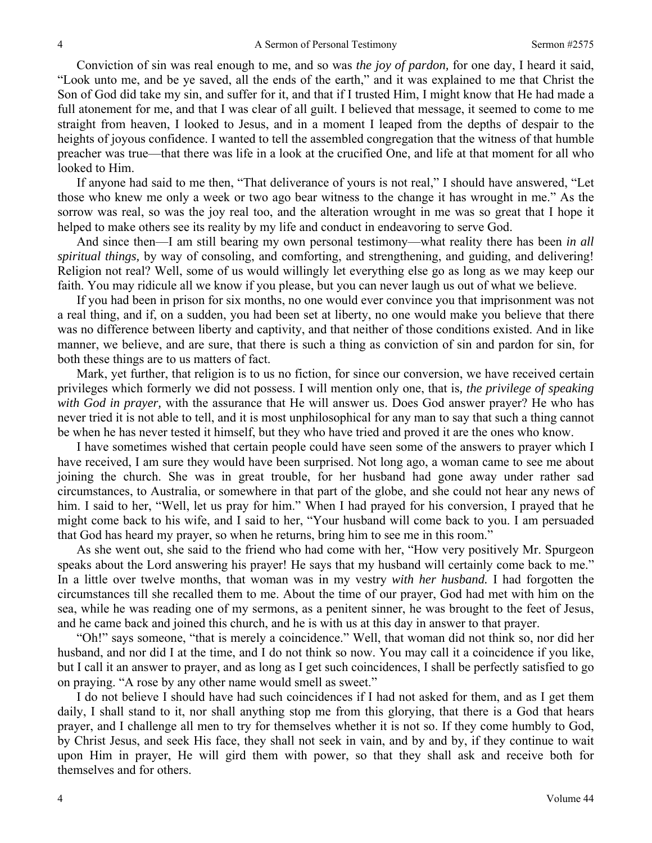Conviction of sin was real enough to me, and so was *the joy of pardon,* for one day, I heard it said, "Look unto me, and be ye saved, all the ends of the earth," and it was explained to me that Christ the Son of God did take my sin, and suffer for it, and that if I trusted Him, I might know that He had made a full atonement for me, and that I was clear of all guilt. I believed that message, it seemed to come to me straight from heaven, I looked to Jesus, and in a moment I leaped from the depths of despair to the heights of joyous confidence. I wanted to tell the assembled congregation that the witness of that humble preacher was true—that there was life in a look at the crucified One, and life at that moment for all who looked to Him.

If anyone had said to me then, "That deliverance of yours is not real," I should have answered, "Let those who knew me only a week or two ago bear witness to the change it has wrought in me." As the sorrow was real, so was the joy real too, and the alteration wrought in me was so great that I hope it helped to make others see its reality by my life and conduct in endeavoring to serve God.

And since then—I am still bearing my own personal testimony—what reality there has been *in all spiritual things,* by way of consoling, and comforting, and strengthening, and guiding, and delivering! Religion not real? Well, some of us would willingly let everything else go as long as we may keep our faith. You may ridicule all we know if you please, but you can never laugh us out of what we believe.

If you had been in prison for six months, no one would ever convince you that imprisonment was not a real thing, and if, on a sudden, you had been set at liberty, no one would make you believe that there was no difference between liberty and captivity, and that neither of those conditions existed. And in like manner, we believe, and are sure, that there is such a thing as conviction of sin and pardon for sin, for both these things are to us matters of fact.

Mark, yet further, that religion is to us no fiction, for since our conversion, we have received certain privileges which formerly we did not possess. I will mention only one, that is*, the privilege of speaking with God in prayer,* with the assurance that He will answer us. Does God answer prayer? He who has never tried it is not able to tell, and it is most unphilosophical for any man to say that such a thing cannot be when he has never tested it himself, but they who have tried and proved it are the ones who know.

I have sometimes wished that certain people could have seen some of the answers to prayer which I have received, I am sure they would have been surprised. Not long ago, a woman came to see me about joining the church. She was in great trouble, for her husband had gone away under rather sad circumstances, to Australia, or somewhere in that part of the globe, and she could not hear any news of him. I said to her, "Well, let us pray for him." When I had prayed for his conversion, I prayed that he might come back to his wife, and I said to her, "Your husband will come back to you. I am persuaded that God has heard my prayer, so when he returns, bring him to see me in this room."

As she went out, she said to the friend who had come with her, "How very positively Mr. Spurgeon speaks about the Lord answering his prayer! He says that my husband will certainly come back to me." In a little over twelve months, that woman was in my vestry *with her husband.* I had forgotten the circumstances till she recalled them to me. About the time of our prayer, God had met with him on the sea, while he was reading one of my sermons, as a penitent sinner, he was brought to the feet of Jesus, and he came back and joined this church, and he is with us at this day in answer to that prayer.

"Oh!" says someone, "that is merely a coincidence." Well, that woman did not think so, nor did her husband, and nor did I at the time, and I do not think so now. You may call it a coincidence if you like, but I call it an answer to prayer, and as long as I get such coincidences, I shall be perfectly satisfied to go on praying. "A rose by any other name would smell as sweet."

I do not believe I should have had such coincidences if I had not asked for them, and as I get them daily, I shall stand to it, nor shall anything stop me from this glorying, that there is a God that hears prayer, and I challenge all men to try for themselves whether it is not so. If they come humbly to God, by Christ Jesus, and seek His face, they shall not seek in vain, and by and by, if they continue to wait upon Him in prayer, He will gird them with power, so that they shall ask and receive both for themselves and for others.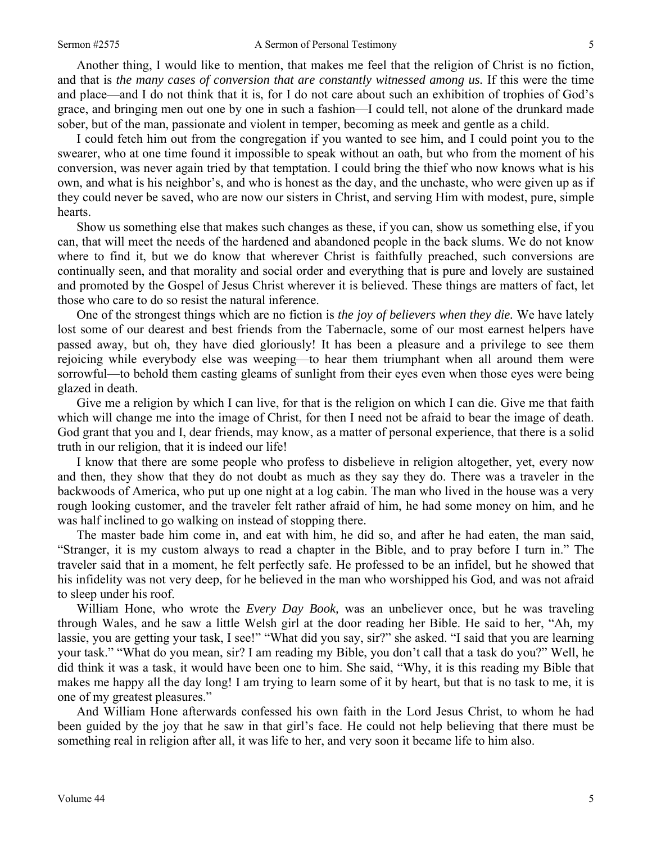Another thing, I would like to mention, that makes me feel that the religion of Christ is no fiction, and that is *the many cases of conversion that are constantly witnessed among us.* If this were the time and place—and I do not think that it is, for I do not care about such an exhibition of trophies of God's grace, and bringing men out one by one in such a fashion—I could tell, not alone of the drunkard made sober, but of the man, passionate and violent in temper, becoming as meek and gentle as a child.

I could fetch him out from the congregation if you wanted to see him, and I could point you to the swearer, who at one time found it impossible to speak without an oath, but who from the moment of his conversion, was never again tried by that temptation. I could bring the thief who now knows what is his own, and what is his neighbor's, and who is honest as the day, and the unchaste, who were given up as if they could never be saved, who are now our sisters in Christ, and serving Him with modest, pure, simple hearts.

Show us something else that makes such changes as these, if you can, show us something else, if you can, that will meet the needs of the hardened and abandoned people in the back slums. We do not know where to find it, but we do know that wherever Christ is faithfully preached, such conversions are continually seen, and that morality and social order and everything that is pure and lovely are sustained and promoted by the Gospel of Jesus Christ wherever it is believed. These things are matters of fact, let those who care to do so resist the natural inference.

One of the strongest things which are no fiction is *the joy of believers when they die.* We have lately lost some of our dearest and best friends from the Tabernacle, some of our most earnest helpers have passed away, but oh, they have died gloriously! It has been a pleasure and a privilege to see them rejoicing while everybody else was weeping—to hear them triumphant when all around them were sorrowful—to behold them casting gleams of sunlight from their eyes even when those eyes were being glazed in death.

Give me a religion by which I can live, for that is the religion on which I can die. Give me that faith which will change me into the image of Christ, for then I need not be afraid to bear the image of death. God grant that you and I, dear friends, may know, as a matter of personal experience, that there is a solid truth in our religion, that it is indeed our life!

I know that there are some people who profess to disbelieve in religion altogether, yet, every now and then, they show that they do not doubt as much as they say they do. There was a traveler in the backwoods of America, who put up one night at a log cabin. The man who lived in the house was a very rough looking customer, and the traveler felt rather afraid of him, he had some money on him, and he was half inclined to go walking on instead of stopping there.

The master bade him come in, and eat with him, he did so, and after he had eaten, the man said, "Stranger, it is my custom always to read a chapter in the Bible, and to pray before I turn in." The traveler said that in a moment, he felt perfectly safe. He professed to be an infidel, but he showed that his infidelity was not very deep, for he believed in the man who worshipped his God, and was not afraid to sleep under his roof.

William Hone, who wrote the *Every Day Book,* was an unbeliever once, but he was traveling through Wales, and he saw a little Welsh girl at the door reading her Bible. He said to her, "Ah*,* my lassie, you are getting your task, I see!" "What did you say, sir?" she asked. "I said that you are learning your task." "What do you mean, sir? I am reading my Bible, you don't call that a task do you?" Well, he did think it was a task, it would have been one to him. She said, "Why, it is this reading my Bible that makes me happy all the day long! I am trying to learn some of it by heart, but that is no task to me, it is one of my greatest pleasures."

And William Hone afterwards confessed his own faith in the Lord Jesus Christ, to whom he had been guided by the joy that he saw in that girl's face. He could not help believing that there must be something real in religion after all, it was life to her, and very soon it became life to him also.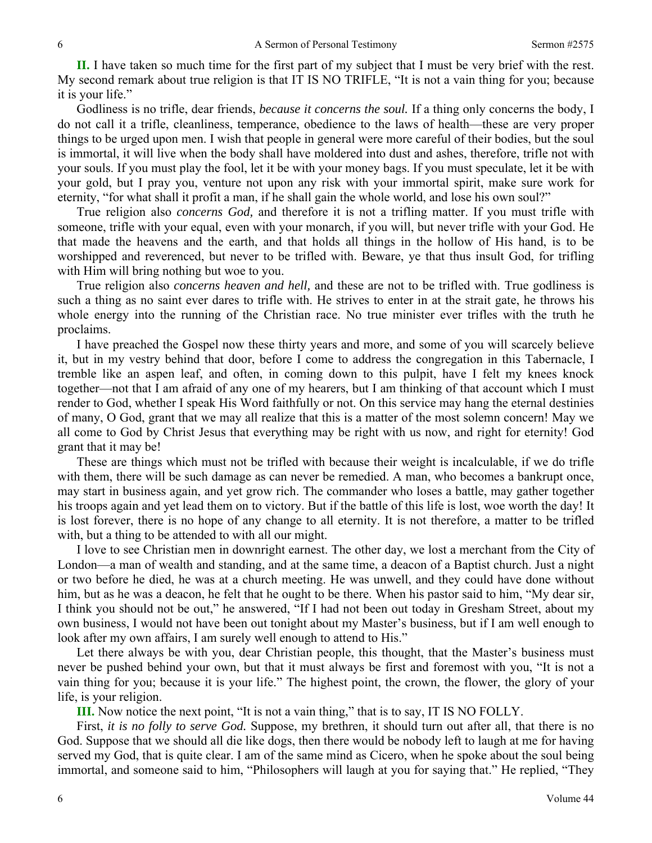**II.** I have taken so much time for the first part of my subject that I must be very brief with the rest. My second remark about true religion is that IT IS NO TRIFLE, "It is not a vain thing for you; because it is your life."

Godliness is no trifle, dear friends, *because it concerns the soul.* If a thing only concerns the body, I do not call it a trifle, cleanliness, temperance, obedience to the laws of health—these are very proper things to be urged upon men. I wish that people in general were more careful of their bodies, but the soul is immortal, it will live when the body shall have moldered into dust and ashes, therefore, trifle not with your souls. If you must play the fool, let it be with your money bags. If you must speculate, let it be with your gold, but I pray you, venture not upon any risk with your immortal spirit, make sure work for eternity, "for what shall it profit a man, if he shall gain the whole world, and lose his own soul?"

True religion also *concerns God,* and therefore it is not a trifling matter. If you must trifle with someone, trifle with your equal, even with your monarch, if you will, but never trifle with your God. He that made the heavens and the earth, and that holds all things in the hollow of His hand, is to be worshipped and reverenced, but never to be trifled with. Beware, ye that thus insult God, for trifling with Him will bring nothing but woe to you.

True religion also *concerns heaven and hell,* and these are not to be trifled with. True godliness is such a thing as no saint ever dares to trifle with. He strives to enter in at the strait gate, he throws his whole energy into the running of the Christian race. No true minister ever trifles with the truth he proclaims.

I have preached the Gospel now these thirty years and more, and some of you will scarcely believe it, but in my vestry behind that door, before I come to address the congregation in this Tabernacle, I tremble like an aspen leaf, and often, in coming down to this pulpit, have I felt my knees knock together—not that I am afraid of any one of my hearers, but I am thinking of that account which I must render to God, whether I speak His Word faithfully or not. On this service may hang the eternal destinies of many, O God, grant that we may all realize that this is a matter of the most solemn concern! May we all come to God by Christ Jesus that everything may be right with us now, and right for eternity! God grant that it may be!

These are things which must not be trifled with because their weight is incalculable, if we do trifle with them, there will be such damage as can never be remedied. A man, who becomes a bankrupt once, may start in business again, and yet grow rich. The commander who loses a battle, may gather together his troops again and yet lead them on to victory. But if the battle of this life is lost, woe worth the day! It is lost forever, there is no hope of any change to all eternity. It is not therefore, a matter to be trifled with, but a thing to be attended to with all our might.

I love to see Christian men in downright earnest. The other day, we lost a merchant from the City of London—a man of wealth and standing, and at the same time, a deacon of a Baptist church. Just a night or two before he died, he was at a church meeting. He was unwell, and they could have done without him, but as he was a deacon, he felt that he ought to be there. When his pastor said to him, "My dear sir, I think you should not be out," he answered, "If I had not been out today in Gresham Street, about my own business, I would not have been out tonight about my Master's business, but if I am well enough to look after my own affairs, I am surely well enough to attend to His."

Let there always be with you, dear Christian people, this thought, that the Master's business must never be pushed behind your own, but that it must always be first and foremost with you, "It is not a vain thing for you; because it is your life." The highest point, the crown, the flower, the glory of your life, is your religion.

**III.** Now notice the next point, "It is not a vain thing," that is to say, IT IS NO FOLLY.

First, *it is no folly to serve God.* Suppose, my brethren, it should turn out after all, that there is no God. Suppose that we should all die like dogs, then there would be nobody left to laugh at me for having served my God, that is quite clear. I am of the same mind as Cicero, when he spoke about the soul being immortal, and someone said to him, "Philosophers will laugh at you for saying that." He replied, "They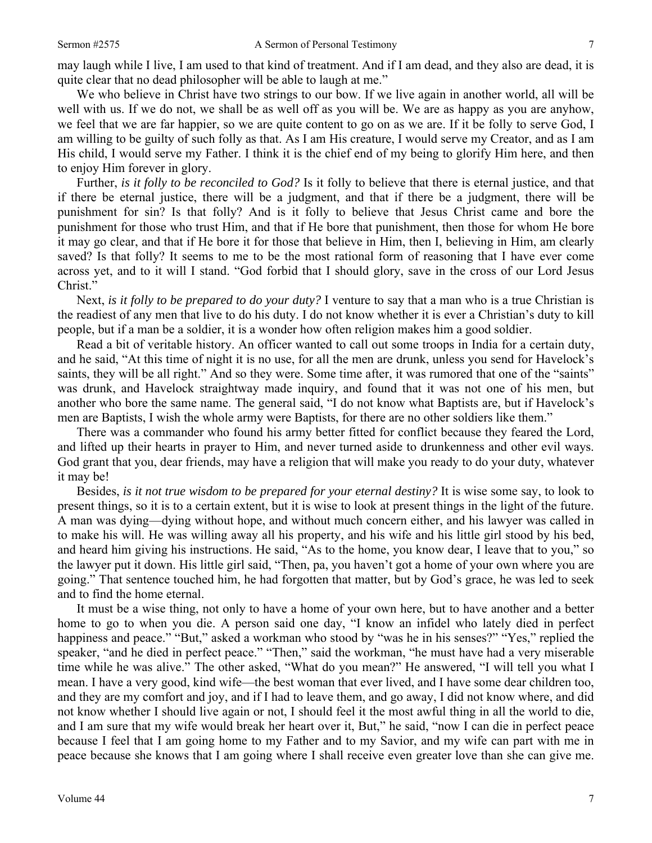may laugh while I live, I am used to that kind of treatment. And if I am dead, and they also are dead, it is quite clear that no dead philosopher will be able to laugh at me."

We who believe in Christ have two strings to our bow. If we live again in another world, all will be well with us. If we do not, we shall be as well off as you will be. We are as happy as you are anyhow, we feel that we are far happier, so we are quite content to go on as we are. If it be folly to serve God, I am willing to be guilty of such folly as that. As I am His creature, I would serve my Creator, and as I am His child, I would serve my Father. I think it is the chief end of my being to glorify Him here, and then to enjoy Him forever in glory.

Further, *is it folly to be reconciled to God?* Is it folly to believe that there is eternal justice, and that if there be eternal justice, there will be a judgment, and that if there be a judgment, there will be punishment for sin? Is that folly? And is it folly to believe that Jesus Christ came and bore the punishment for those who trust Him, and that if He bore that punishment, then those for whom He bore it may go clear, and that if He bore it for those that believe in Him, then I, believing in Him, am clearly saved? Is that folly? It seems to me to be the most rational form of reasoning that I have ever come across yet, and to it will I stand. "God forbid that I should glory, save in the cross of our Lord Jesus Christ."

Next, *is it folly to be prepared to do your duty?* I venture to say that a man who is a true Christian is the readiest of any men that live to do his duty. I do not know whether it is ever a Christian's duty to kill people, but if a man be a soldier, it is a wonder how often religion makes him a good soldier.

Read a bit of veritable history. An officer wanted to call out some troops in India for a certain duty, and he said, "At this time of night it is no use, for all the men are drunk, unless you send for Havelock's saints, they will be all right." And so they were. Some time after, it was rumored that one of the "saints" was drunk, and Havelock straightway made inquiry, and found that it was not one of his men, but another who bore the same name. The general said, "I do not know what Baptists are, but if Havelock's men are Baptists, I wish the whole army were Baptists, for there are no other soldiers like them."

There was a commander who found his army better fitted for conflict because they feared the Lord, and lifted up their hearts in prayer to Him, and never turned aside to drunkenness and other evil ways. God grant that you, dear friends, may have a religion that will make you ready to do your duty, whatever it may be!

Besides, *is it not true wisdom to be prepared for your eternal destiny?* It is wise some say, to look to present things, so it is to a certain extent, but it is wise to look at present things in the light of the future. A man was dying—dying without hope, and without much concern either, and his lawyer was called in to make his will. He was willing away all his property, and his wife and his little girl stood by his bed, and heard him giving his instructions. He said, "As to the home, you know dear, I leave that to you," so the lawyer put it down. His little girl said, "Then, pa, you haven't got a home of your own where you are going." That sentence touched him, he had forgotten that matter, but by God's grace, he was led to seek and to find the home eternal.

It must be a wise thing, not only to have a home of your own here, but to have another and a better home to go to when you die. A person said one day, "I know an infidel who lately died in perfect happiness and peace." "But," asked a workman who stood by "was he in his senses?" "Yes," replied the speaker, "and he died in perfect peace." "Then," said the workman, "he must have had a very miserable time while he was alive." The other asked, "What do you mean?" He answered, "I will tell you what I mean. I have a very good, kind wife—the best woman that ever lived, and I have some dear children too, and they are my comfort and joy, and if I had to leave them, and go away, I did not know where, and did not know whether I should live again or not, I should feel it the most awful thing in all the world to die, and I am sure that my wife would break her heart over it, But," he said, "now I can die in perfect peace because I feel that I am going home to my Father and to my Savior, and my wife can part with me in peace because she knows that I am going where I shall receive even greater love than she can give me.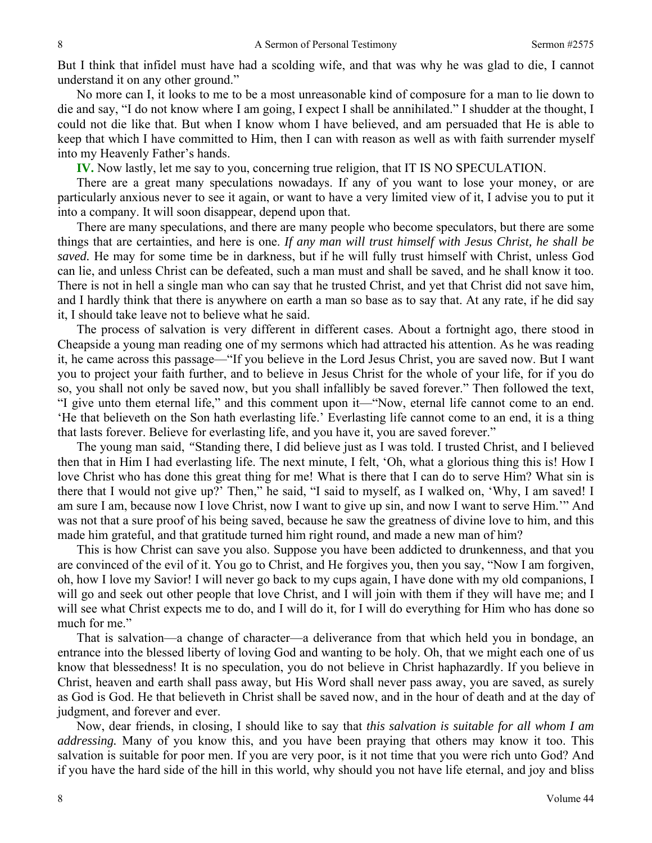But I think that infidel must have had a scolding wife, and that was why he was glad to die, I cannot understand it on any other ground."

No more can I, it looks to me to be a most unreasonable kind of composure for a man to lie down to die and say, "I do not know where I am going, I expect I shall be annihilated." I shudder at the thought, I could not die like that. But when I know whom I have believed, and am persuaded that He is able to keep that which I have committed to Him, then I can with reason as well as with faith surrender myself into my Heavenly Father's hands.

**IV.** Now lastly, let me say to you, concerning true religion, that IT IS NO SPECULATION.

There are a great many speculations nowadays. If any of you want to lose your money, or are particularly anxious never to see it again, or want to have a very limited view of it, I advise you to put it into a company. It will soon disappear, depend upon that.

There are many speculations, and there are many people who become speculators, but there are some things that are certainties, and here is one. *If any man will trust himself with Jesus Christ, he shall be saved.* He may for some time be in darkness, but if he will fully trust himself with Christ, unless God can lie, and unless Christ can be defeated, such a man must and shall be saved, and he shall know it too. There is not in hell a single man who can say that he trusted Christ, and yet that Christ did not save him, and I hardly think that there is anywhere on earth a man so base as to say that. At any rate, if he did say it, I should take leave not to believe what he said.

The process of salvation is very different in different cases. About a fortnight ago, there stood in Cheapside a young man reading one of my sermons which had attracted his attention. As he was reading it, he came across this passage—"If you believe in the Lord Jesus Christ, you are saved now. But I want you to project your faith further, and to believe in Jesus Christ for the whole of your life, for if you do so, you shall not only be saved now, but you shall infallibly be saved forever." Then followed the text, "I give unto them eternal life," and this comment upon it—"Now, eternal life cannot come to an end. 'He that believeth on the Son hath everlasting life.' Everlasting life cannot come to an end, it is a thing that lasts forever. Believe for everlasting life, and you have it, you are saved forever."

The young man said, *"*Standing there, I did believe just as I was told. I trusted Christ, and I believed then that in Him I had everlasting life. The next minute, I felt, 'Oh, what a glorious thing this is! How I love Christ who has done this great thing for me! What is there that I can do to serve Him? What sin is there that I would not give up?' Then," he said, "I said to myself, as I walked on, 'Why, I am saved! I am sure I am, because now I love Christ, now I want to give up sin, and now I want to serve Him.'" And was not that a sure proof of his being saved, because he saw the greatness of divine love to him, and this made him grateful, and that gratitude turned him right round, and made a new man of him?

This is how Christ can save you also. Suppose you have been addicted to drunkenness, and that you are convinced of the evil of it. You go to Christ, and He forgives you, then you say, "Now I am forgiven, oh, how I love my Savior! I will never go back to my cups again, I have done with my old companions, I will go and seek out other people that love Christ, and I will join with them if they will have me; and I will see what Christ expects me to do, and I will do it, for I will do everything for Him who has done so much for me."

That is salvation—a change of character—a deliverance from that which held you in bondage, an entrance into the blessed liberty of loving God and wanting to be holy. Oh, that we might each one of us know that blessedness! It is no speculation, you do not believe in Christ haphazardly. If you believe in Christ, heaven and earth shall pass away, but His Word shall never pass away, you are saved, as surely as God is God. He that believeth in Christ shall be saved now, and in the hour of death and at the day of judgment, and forever and ever.

Now, dear friends, in closing, I should like to say that *this salvation is suitable for all whom I am addressing.* Many of you know this, and you have been praying that others may know it too. This salvation is suitable for poor men. If you are very poor, is it not time that you were rich unto God? And if you have the hard side of the hill in this world, why should you not have life eternal, and joy and bliss